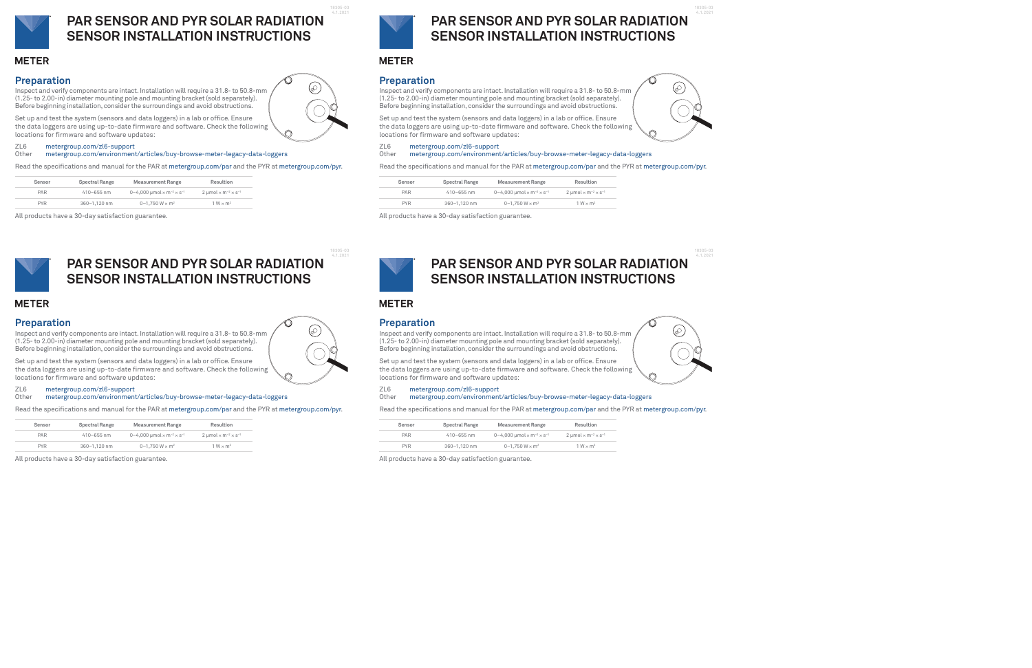### **Preparation**

Inspect and verify components are intact.Installation willrequire a 31.8- to 50.8-mm (1.25- to 2.00-in) diameter mounting pole and mounting bracket (sold separately). Before beginning installation, consider the surroundings and avoid obstructions.



#### ZL6 metergroup.com/zl6-support

Other metergroup.com/environment/articles/buy-browse-meter-legacy-data-loggers

Read the specifications and manual for the PAR at metergroup.com/par and the PYR at metergroup.com/pyr.

| Sensor     | Spectral Range | <b>Measurement Range</b>                                       | Resultion                                                     |
|------------|----------------|----------------------------------------------------------------|---------------------------------------------------------------|
| PAR        | $410 - 655$ nm | 0-4.000 umol $\times$ m <sup>-2</sup> $\times$ s <sup>-1</sup> | $2 \mu$ mol $\times$ m <sup>-2</sup> $\times$ s <sup>-1</sup> |
| <b>PYR</b> | 360-1.120 nm   | 0-1.750 W $\times$ m <sup>2</sup>                              | $1 W \times m^2$                                              |

Inspect and verify components are intact. Installation will require a 31.8- to 50.8-mm (1.25- to 2.00-in) diameter mounting pole and mounting bracket (sold separately). Before beginning installation, consider the surroundings and avoid obstructions.

All products have a 30-day satisfaction guarantee.





# **PAR SENSOR AND PYR SOLAR RADIATION SENSOR INSTALLATION INSTRUCTIONS**

### **METER**

18305-03 4.1.2021

Set up and test the system (sensors and data loggers) in a lab or office. Ensure the data loggers are using up-to-date firmware and software. Check the following locations for firmware and software updates:

#### **Preparation**

Inspect and verify components are intact. Installation will require a 31.8- to 50.8-mm (1.25- to 2.00-in) diameter mounting pole and mounting bracket (sold separately). Before beginning installation, consider the surroundings and avoid obstructions.

#### ZL6 metergroup.com/zl6-support

Other metergroup.com/environment/articles/buy-browse-meter-legacy-data-loggers

Read the specifications and manual for the PAR at metergroup.com/par and the PYR at metergroup.com/pyr.

| Sensor     | Spectral Range | <b>Measurement Range</b>                                       | Resultion                                                     |
|------------|----------------|----------------------------------------------------------------|---------------------------------------------------------------|
| <b>PAR</b> | $410 - 655$ nm | 0-4.000 umol $\times$ m <sup>-2</sup> $\times$ s <sup>-1</sup> | $2 \mu$ mol $\times$ m <sup>-2</sup> $\times$ s <sup>-1</sup> |
| <b>PYR</b> | 360-1.120 nm   | 0-1.750 W $\times$ m <sup>2</sup>                              | $1 W \times m^2$                                              |

Inspect and verify components are intact. Installation will require a 31.8- to 50.8-mm (1.25- to 2.00-in) diameter mounting pole and mounting bracket (sold separately). Before beginning installation, consider the surroundings and avoid obstructions.

All products have a 30-day satisfaction guarantee.



**Other** metergroup.com/environment/articles/buy-browse-meter-legacy-data-loggers

# **PAR SENSOR AND PYR SOLAR RADIATION SENSOR INSTALLATION INSTRUCTIONS**

## **METER**

18305-03 4.1.2021

Set up and test the system (sensors and data loggers) in a lab or office. Ensure the data loggers are using up-to-date firmware and software. Check the following locations for firmware and software updates:

### **Preparation**

#### ZL6 metergroup.com/zl6-support

Other metergroup.com/environment/articles/buy-browse-meter-legacy-data-loggers

Read the specifications and manual for the PAR at metergroup.com/par and the PYR at metergroup.com/pyr.

| Sensor     | Spectral Range | <b>Measurement Range</b>                                            | Resultion                                                     |
|------------|----------------|---------------------------------------------------------------------|---------------------------------------------------------------|
| PAR        | $410 - 655$ nm | 0-4,000 $\mu$ mol $\times$ m <sup>-2</sup> $\times$ s <sup>-1</sup> | $2 \mu$ mol $\times$ m <sup>-2</sup> $\times$ s <sup>-1</sup> |
| <b>PYR</b> | 360-1.120 nm   | 0-1.750 W $\times$ m <sup>2</sup>                                   | $1 W \times m^2$                                              |

All products have a 30-day satisfaction guarantee.



# **PAR SENSOR AND PYR SOLAR RADIATION SENSOR INSTALLATION INSTRUCTIONS**

## **METER**

18305-03 4.1.2021

6

Set up and test the system (sensors and data loggers) in a lab or office. Ensure the data loggers are using up-to-date firmware and software. Check the following locations for firmware and software updates:

### **Preparation**

#### ZL6 metergroup.com/zl6-support

Read the specifications and manual for the PAR at metergroup.com/par and the PYR at metergroup.com/pyr.

| Sensor     | <b>Spectral Range</b> | <b>Measurement Range</b>                                       | Resultion                                                |
|------------|-----------------------|----------------------------------------------------------------|----------------------------------------------------------|
| PAR        | $410 - 655$ nm        | 0-4,000 µmol $\times$ m <sup>-2</sup> $\times$ s <sup>-1</sup> | 2 µmol $\times$ m <sup>-2</sup> $\times$ s <sup>-1</sup> |
| <b>PYR</b> | 360-1.120 nm          | 0-1.750 W $\times$ m <sup>2</sup>                              | $1 W \times m^2$                                         |

All products have a 30-day satisfaction guarantee.



## **PAR SENSOR AND PYR SOLAR RADIATION SENSOR INSTALLATION INSTRUCTIONS**

## **METER**

18305-03 4.1.2021

Set up and test the system (sensors and data loggers) in a lab or office. Ensure the data loggers are using up-to-date firmware and software. Check the following locations for firmware and software updates: